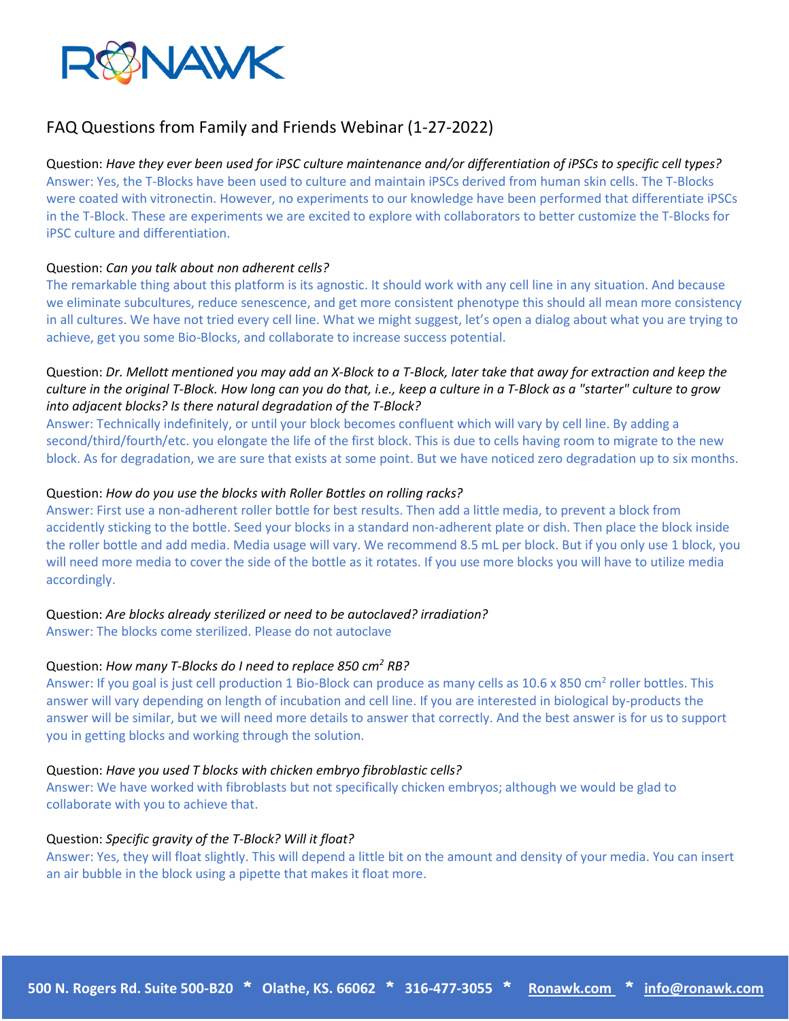

# FAQ Questions from Family and Friends Webinar (1-27-2022)

Question: *Have they ever been used for iPSC culture maintenance and/or differentiation of iPSCs to specific cell types?* Answer: Yes, the T-Blocks have been used to culture and maintain iPSCs derived from human skin cells. The T-Blocks were coated with vitronectin. However, no experiments to our knowledge have been performed that differentiate iPSCs in the T-Block. These are experiments we are excited to explore with collaborators to better customize the T-Blocks for iPSC culture and differentiation.

# Question: *Can you talk about non adherent cells?*

The remarkable thing about this platform is its agnostic. It should work with any cell line in any situation. And because we eliminate subcultures, reduce senescence, and get more consistent phenotype this should all mean more consistency in all cultures. We have not tried every cell line. What we might suggest, let's open a dialog about what you are trying to achieve, get you some Bio-Blocks, and collaborate to increase success potential.

# Question: *Dr. Mellott mentioned you may add an X-Block to a T-Block, later take that away for extraction and keep the culture in the original T-Block. How long can you do that, i.e., keep a culture in a T-Block as a "starter" culture to grow into adjacent blocks? Is there natural degradation of the T-Block?*

Answer: Technically indefinitely, or until your block becomes confluent which will vary by cell line. By adding a second/third/fourth/etc. you elongate the life of the first block. This is due to cells having room to migrate to the new block. As for degradation, we are sure that exists at some point. But we have noticed zero degradation up to six months.

# Question: *How do you use the blocks with Roller Bottles on rolling racks?*

Answer: First use a non-adherent roller bottle for best results. Then add a little media, to prevent a block from accidently sticking to the bottle. Seed your blocks in a standard non-adherent plate or dish. Then place the block inside the roller bottle and add media. Media usage will vary. We recommend 8.5 mL per block. But if you only use 1 block, you will need more media to cover the side of the bottle as it rotates. If you use more blocks you will have to utilize media accordingly.

# Question: *Are blocks already sterilized or need to be autoclaved? irradiation?*

Answer: The blocks come sterilized. Please do not autoclave

# Question: *How many T-Blocks do I need to replace 850 cm2 RB?*

Answer: If you goal is just cell production 1 Bio-Block can produce as many cells as 10.6 x 850 cm<sup>2</sup> roller bottles. This answer will vary depending on length of incubation and cell line. If you are interested in biological by-products the answer will be similar, but we will need more details to answer that correctly. And the best answer is for us to support you in getting blocks and working through the solution.

### Question: *Have you used T blocks with chicken embryo fibroblastic cells?*

Answer: We have worked with fibroblasts but not specifically chicken embryos; although we would be glad to collaborate with you to achieve that.

### Question: *Specific gravity of the T-Block? Will it float?*

Answer: Yes, they will float slightly. This will depend a little bit on the amount and density of your media. You can insert an air bubble in the block using a pipette that makes it float more.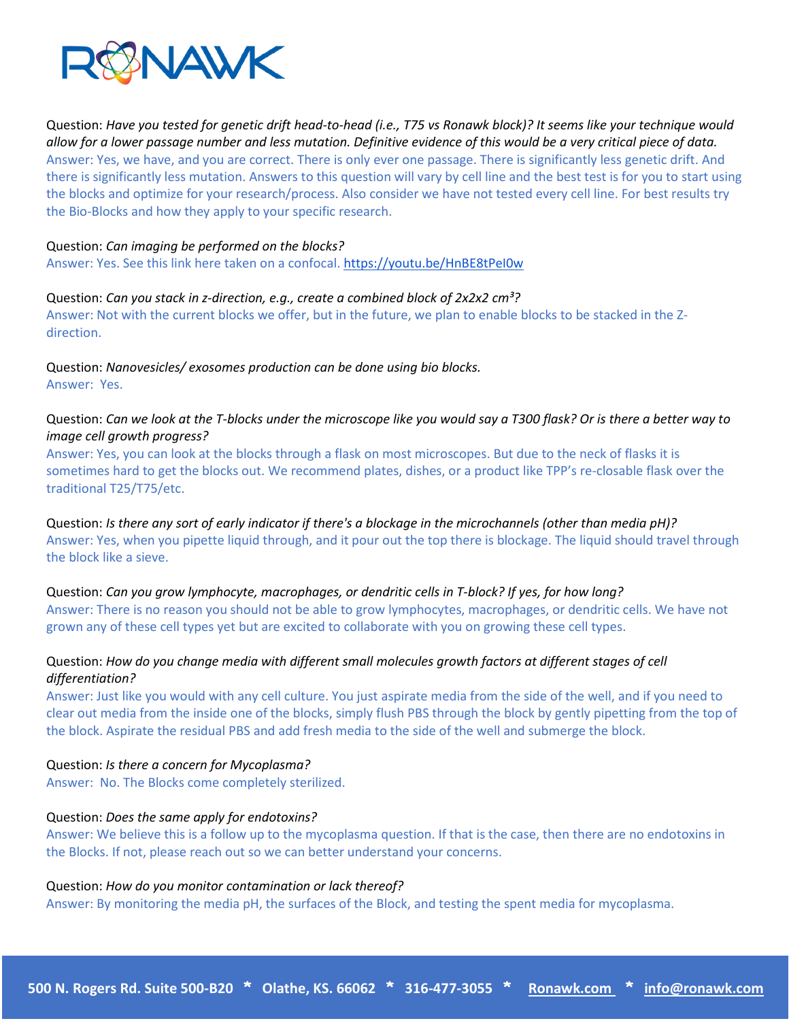

Question: *Have you tested for genetic drift head-to-head (i.e., T75 vs Ronawk block)? It seems like your technique would allow for a lower passage number and less mutation. Definitive evidence of this would be a very critical piece of data.* Answer: Yes, we have, and you are correct. There is only ever one passage. There is significantly less genetic drift. And there is significantly less mutation. Answers to this question will vary by cell line and the best test is for you to start using the blocks and optimize for your research/process. Also consider we have not tested every cell line. For best results try the Bio-Blocks and how they apply to your specific research.

#### Question: *Can imaging be performed on the blocks?*

Answer: Yes. See this link here taken on a confocal[. https://youtu.be/HnBE8tPeI0w](https://youtu.be/HnBE8tPeI0w)

#### Question: *Can you stack in z-direction, e.g., create a combined block of 2x2x2 cm³?*

Answer: Not with the current blocks we offer, but in the future, we plan to enable blocks to be stacked in the Zdirection.

Question: *Nanovesicles/ exosomes production can be done using bio blocks.* Answer: Yes.

# Question: *Can we look at the T-blocks under the microscope like you would say a T300 flask? Or is there a better way to image cell growth progress?*

Answer: Yes, you can look at the blocks through a flask on most microscopes. But due to the neck of flasks it is sometimes hard to get the blocks out. We recommend plates, dishes, or a product like TPP's re-closable flask over the traditional T25/T75/etc.

Question: *Is there any sort of early indicator if there's a blockage in the microchannels (other than media pH)?* Answer: Yes, when you pipette liquid through, and it pour out the top there is blockage. The liquid should travel through the block like a sieve.

Question: *Can you grow lymphocyte, macrophages, or dendritic cells in T-block? If yes, for how long?* Answer: There is no reason you should not be able to grow lymphocytes, macrophages, or dendritic cells. We have not grown any of these cell types yet but are excited to collaborate with you on growing these cell types.

# Question: *How do you change media with different small molecules growth factors at different stages of cell differentiation?*

Answer: Just like you would with any cell culture. You just aspirate media from the side of the well, and if you need to clear out media from the inside one of the blocks, simply flush PBS through the block by gently pipetting from the top of the block. Aspirate the residual PBS and add fresh media to the side of the well and submerge the block.

### Question: *Is there a concern for Mycoplasma?*

Answer: No. The Blocks come completely sterilized.

### Question: *Does the same apply for endotoxins?*

Answer: We believe this is a follow up to the mycoplasma question. If that is the case, then there are no endotoxins in the Blocks. If not, please reach out so we can better understand your concerns.

#### Question: *How do you monitor contamination or lack thereof?*

Answer: By monitoring the media pH, the surfaces of the Block, and testing the spent media for mycoplasma.